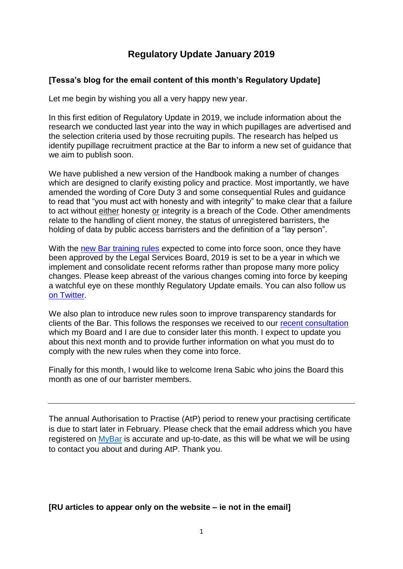# **Regulatory Update January 2019**

### **[Tessa's blog for the email content of this month's Regulatory Update]**

Let me begin by wishing you all a very happy new year.

In this first edition of Regulatory Update in 2019, we include information about the research we conducted last year into the way in which pupillages are advertised and the selection criteria used by those recruiting pupils. The research has helped us identify pupillage recruitment practice at the Bar to inform a new set of guidance that we aim to publish soon.

We have published a new version of the Handbook making a number of changes which are designed to clarify existing policy and practice. Most importantly, we have amended the wording of Core Duty 3 and some consequential Rules and guidance to read that "you must act with honesty and with integrity" to make clear that a failure to act without either honesty or integrity is a breach of the Code. Other amendments relate to the handling of client money, the status of unregistered barristers, the holding of data by public access barristers and the definition of a "lay person".

With the [new Bar training rules](https://www.barstandardsboard.org.uk/media-centre/press-releases-and-news/regulator-agrees-new-bar-training-rules/) expected to come into force soon, once they have been approved by the Legal Services Board, 2019 is set to be a year in which we implement and consolidate recent reforms rather than propose many more policy changes. Please keep abreast of the various changes coming into force by keeping a watchful eye on these monthly Regulatory Update emails. You can also follow us [on Twitter.](https://twitter.com/barstandards)

We also plan to introduce new rules soon to improve transparency standards for clients of the Bar. This follows the responses we received to our [recent consultation](https://www.barstandardsboard.org.uk/media-centre/press-releases-and-news/bsb-seeks-views-on-draft-of-new-bar-transparency-rules/) which my Board and I are due to consider later this month. I expect to update you about this next month and to provide further information on what you must do to comply with the new rules when they come into force.

Finally for this month, I would like to welcome Irena Sabic who joins the Board this month as one of our barrister members.

The annual Authorisation to Practise (AtP) period to renew your practising certificate is due to start later in February. Please check that the email address which you have registered on [MyBar](https://www.mybar.org.uk/login.html) is accurate and up-to-date, as this will be what we will be using to contact you about and during AtP. Thank you.

# **[RU articles to appear only on the website – ie not in the email]**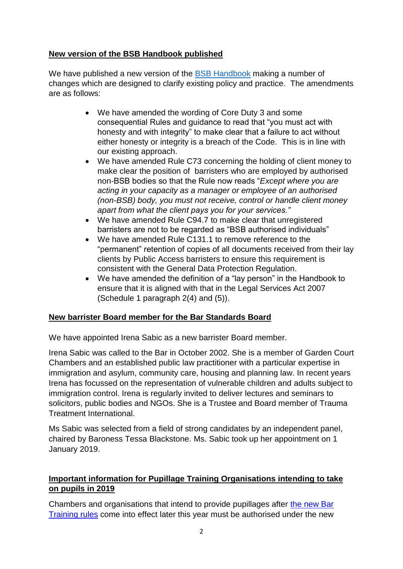# **New version of the BSB Handbook published**

We have published a new version of the [BSB Handbook](https://www.barstandardsboard.org.uk/regulatory-requirements/bsb-handbook/the-handbook-publication/) making a number of changes which are designed to clarify existing policy and practice. The amendments are as follows:

- We have amended the wording of Core Duty 3 and some consequential Rules and guidance to read that "you must act with honesty and with integrity" to make clear that a failure to act without either honesty or integrity is a breach of the Code. This is in line with our existing approach.
- We have amended Rule C73 concerning the holding of client money to make clear the position of barristers who are employed by authorised non-BSB bodies so that the Rule now reads "*Except where you are acting in your capacity as a manager or employee of an authorised (non-BSB) body, you must not receive, control or handle client money apart from what the client pays you for your services."*
- We have amended Rule C94.7 to make clear that unregistered barristers are not to be regarded as "BSB authorised individuals"
- We have amended Rule C131.1 to remove reference to the "permanent" retention of copies of all documents received from their lay clients by Public Access barristers to ensure this requirement is consistent with the General Data Protection Regulation.
- We have amended the definition of a "lay person" in the Handbook to ensure that it is aligned with that in the Legal Services Act 2007 (Schedule 1 paragraph 2(4) and (5)).

# **New barrister Board member for the Bar Standards Board**

We have appointed Irena Sabic as a new barrister Board member.

Irena Sabic was called to the Bar in October 2002. She is a member of Garden Court Chambers and an established public law practitioner with a particular expertise in immigration and asylum, community care, housing and planning law. In recent years Irena has focussed on the representation of vulnerable children and adults subject to immigration control. Irena is regularly invited to deliver lectures and seminars to solicitors, public bodies and NGOs. She is a Trustee and Board member of Trauma Treatment International.

Ms Sabic was selected from a field of strong candidates by an independent panel, chaired by Baroness Tessa Blackstone. Ms. Sabic took up her appointment on 1 January 2019.

# **Important information for Pupillage Training Organisations intending to take on pupils in 2019**

Chambers and organisations that intend to provide pupillages after [the new Bar](https://www.barstandardsboard.org.uk/media-centre/press-releases-and-news/regulator-agrees-new-bar-training-rules/)  [Training rules](https://www.barstandardsboard.org.uk/media-centre/press-releases-and-news/regulator-agrees-new-bar-training-rules/) come into effect later this year must be authorised under the new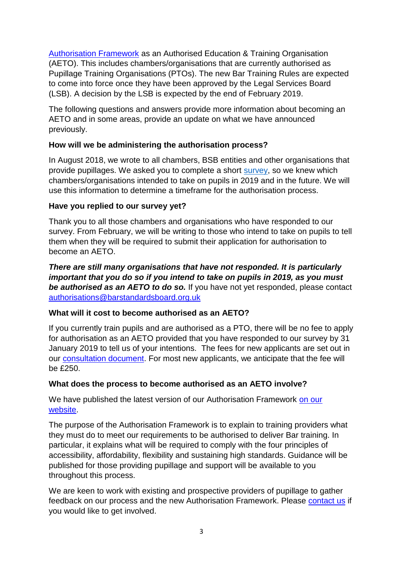[Authorisation Framework](https://www.barstandardsboard.org.uk/qualifying-as-a-barrister/for-intending-aetos/) as an Authorised Education & Training Organisation (AETO). This includes chambers/organisations that are currently authorised as Pupillage Training Organisations (PTOs). The new Bar Training Rules are expected to come into force once they have been approved by the Legal Services Board (LSB). A decision by the LSB is expected by the end of February 2019.

The following questions and answers provide more information about becoming an AETO and in some areas, provide an update on what we have announced previously.

# **How will we be administering the authorisation process?**

In August 2018, we wrote to all chambers, BSB entities and other organisations that provide pupillages. We asked you to complete a short [survey,](https://www.surveymonkey.co.uk/r/DTW63NV?utm_campaign=576265_AETOs%20and%20PTOs%20August%202018&utm_medium=email&utm_source=BSB%20Regulatory%20updates&dm_t=0,0,0,0,0) so we knew which chambers/organisations intended to take on pupils in 2019 and in the future. We will use this information to determine a timeframe for the authorisation process.

# **Have you replied to our survey yet?**

Thank you to all those chambers and organisations who have responded to our survey. From February, we will be writing to those who intend to take on pupils to tell them when they will be required to submit their application for authorisation to become an AETO.

*There are still many organisations that have not responded. It is particularly important that you do so if you intend to take on pupils in 2019, as you must be authorised as an AETO to do so.* If you have not yet responded, please contact [authorisations@barstandardsboard.org.uk](mailto:authorisations@barstandardsboard.org.uk)

# **What will it cost to become authorised as an AETO?**

If you currently train pupils and are authorised as a PTO, there will be no fee to apply for authorisation as an AETO provided that you have responded to our survey by 31 January 2019 to tell us of your intentions. The fees for new applicants are set out in our [consultation document.](https://www.barstandardsboard.org.uk/about-bar-standards-board/consultations/open-consultations/) For most new applicants, we anticipate that the fee will be £250.

# **What does the process to become authorised as an AETO involve?**

We have published the latest version of our Authorisation Framework on our [website.](https://www.barstandardsboard.org.uk/qualifying-as-a-barrister/for-intending-aetos/)

The purpose of the Authorisation Framework is to explain to training providers what they must do to meet our requirements to be authorised to deliver Bar training. In particular, it explains what will be required to comply with the four principles of accessibility, affordability, flexibility and sustaining high standards. Guidance will be published for those providing pupillage and support will be available to you throughout this process.

We are keen to work with existing and prospective providers of pupillage to gather feedback on our process and the new Authorisation Framework. Please [contact us](mailto:authorisations@barstandardsboard.org.uk) if you would like to get involved.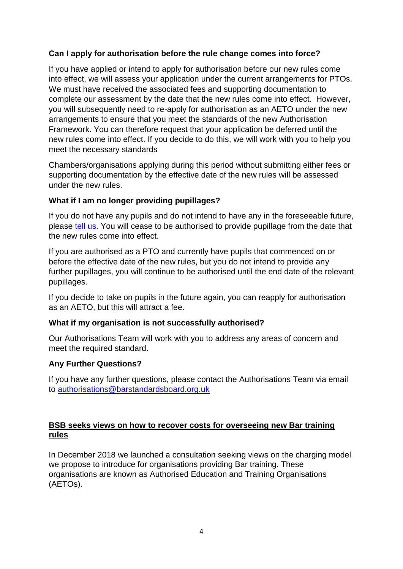# **Can I apply for authorisation before the rule change comes into force?**

If you have applied or intend to apply for authorisation before our new rules come into effect, we will assess your application under the current arrangements for PTOs. We must have received the associated fees and supporting documentation to complete our assessment by the date that the new rules come into effect. However, you will subsequently need to re-apply for authorisation as an AETO under the new arrangements to ensure that you meet the standards of the new Authorisation Framework. You can therefore request that your application be deferred until the new rules come into effect. If you decide to do this, we will work with you to help you meet the necessary standards

Chambers/organisations applying during this period without submitting either fees or supporting documentation by the effective date of the new rules will be assessed under the new rules.

### **What if I am no longer providing pupillages?**

If you do not have any pupils and do not intend to have any in the foreseeable future, please [tell us.](mailto:authorisations@barstandardsboard.org.uk) You will cease to be authorised to provide pupillage from the date that the new rules come into effect.

If you are authorised as a PTO and currently have pupils that commenced on or before the effective date of the new rules, but you do not intend to provide any further pupillages, you will continue to be authorised until the end date of the relevant pupillages.

If you decide to take on pupils in the future again, you can reapply for authorisation as an AETO, but this will attract a fee.

# **What if my organisation is not successfully authorised?**

Our Authorisations Team will work with you to address any areas of concern and meet the required standard.

#### **Any Further Questions?**

If you have any further questions, please contact the Authorisations Team via email to [authorisations@barstandardsboard.org.uk](mailto:authorisations@barstandardsboard.org.uk)

### **BSB seeks views on how to recover costs for overseeing new Bar training rules**

In December 2018 we launched a consultation seeking views on the charging model we propose to introduce for organisations providing Bar training. These organisations are known as Authorised Education and Training Organisations (AETOs).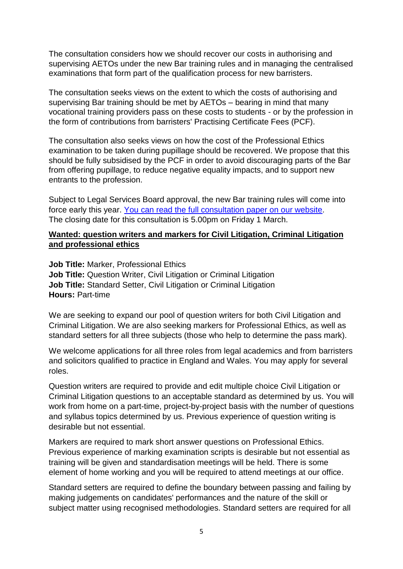The consultation considers how we should recover our costs in authorising and supervising AETOs under the new Bar training rules and in managing the centralised examinations that form part of the qualification process for new barristers.

The consultation seeks views on the extent to which the costs of authorising and supervising Bar training should be met by AETOs – bearing in mind that many vocational training providers pass on these costs to students - or by the profession in the form of contributions from barristers' Practising Certificate Fees (PCF).

The consultation also seeks views on how the cost of the Professional Ethics examination to be taken during pupillage should be recovered. We propose that this should be fully subsidised by the PCF in order to avoid discouraging parts of the Bar from offering pupillage, to reduce negative equality impacts, and to support new entrants to the profession.

Subject to Legal Services Board approval, the new Bar training rules will come into force early this year. You can read the full [consultation](https://www.barstandardsboard.org.uk/media/1969810/fees_consultation_-_aetos.pdf) paper on our website. The closing date for this consultation is 5.00pm on Friday 1 March.

### **Wanted: question writers and markers for Civil Litigation, Criminal Litigation and professional ethics**

**Job Title:** Marker, Professional Ethics **Job Title:** Question Writer, Civil Litigation or Criminal Litigation **Job Title:** Standard Setter, Civil Litigation or Criminal Litigation **Hours:** Part-time

We are seeking to expand our pool of question writers for both Civil Litigation and Criminal Litigation. We are also seeking markers for Professional Ethics, as well as standard setters for all three subjects (those who help to determine the pass mark).

We welcome applications for all three roles from legal academics and from barristers and solicitors qualified to practice in England and Wales. You may apply for several roles.

Question writers are required to provide and edit multiple choice Civil Litigation or Criminal Litigation questions to an acceptable standard as determined by us. You will work from home on a part-time, project-by-project basis with the number of questions and syllabus topics determined by us. Previous experience of question writing is desirable but not essential.

Markers are required to mark short answer questions on Professional Ethics. Previous experience of marking examination scripts is desirable but not essential as training will be given and standardisation meetings will be held. There is some element of home working and you will be required to attend meetings at our office.

Standard setters are required to define the boundary between passing and failing by making judgements on candidates' performances and the nature of the skill or subject matter using recognised methodologies. Standard setters are required for all